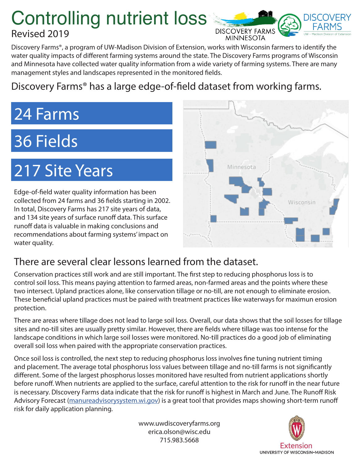## Controlling nutrient loss Revised 2019



Discovery Farms®, a program of UW-Madison Division of Extension, works with Wisconsin farmers to identify the water quality impacts of different farming systems around the state. The Discovery Farms programs of Wisconsin and Minnesota have collected water quality information from a wide variety of farming systems. There are many management styles and landscapes represented in the monitored fields.

### Discovery Farms® has a large edge-of-field dataset from working farms.

# 24 Farms

# 36 Fields

# 217 Site Years

Edge-of-field water quality information has been collected from 24 farms and 36 fields starting in 2002. In total, Discovery Farms has 217 site years of data, and 134 site years of surface runoff data. This surface runoff data is valuable in making conclusions and recommendations about farming systems' impact on water quality.



### There are several clear lessons learned from the dataset.

Conservation practices still work and are still important. The first step to reducing phosphorus loss is to control soil loss. This means paying attention to farmed areas, non-farmed areas and the points where these two intersect. Upland practices alone, like conservation tillage or no-till, are not enough to eliminate erosion. These beneficial upland practices must be paired with treatment practices like waterways for maximun erosion protection.

There are areas where tillage does not lead to large soil loss. Overall, our data shows that the soil losses for tillage sites and no-till sites are usually pretty similar. However, there are fields where tillage was too intense for the landscape conditions in which large soil losses were monitored. No-till practices do a good job of eliminating overall soil loss when paired with the appropriate conservation practices.

Once soil loss is controlled, the next step to reducing phosphorus loss involves fine tuning nutrient timing and placement. The average total phosphorus loss values between tillage and no-till farms is not significantly different. Some of the largest phosphorus losses monitored have resulted from nutrient applications shortly before runoff. When nutrients are applied to the surface, careful attention to the risk for runoff in the near future is necessary. DIscovery Farms data indicate that the risk for runoff is highest in March and June. The Runoff Risk Advisory Forecast (manureadvisorysystem.wi.gov) is a great tool that provides maps showing short-term runoff risk for daily application planning.

> www.uwdiscoveryfarms.org erica.olson@wisc.edu 715.983.5668